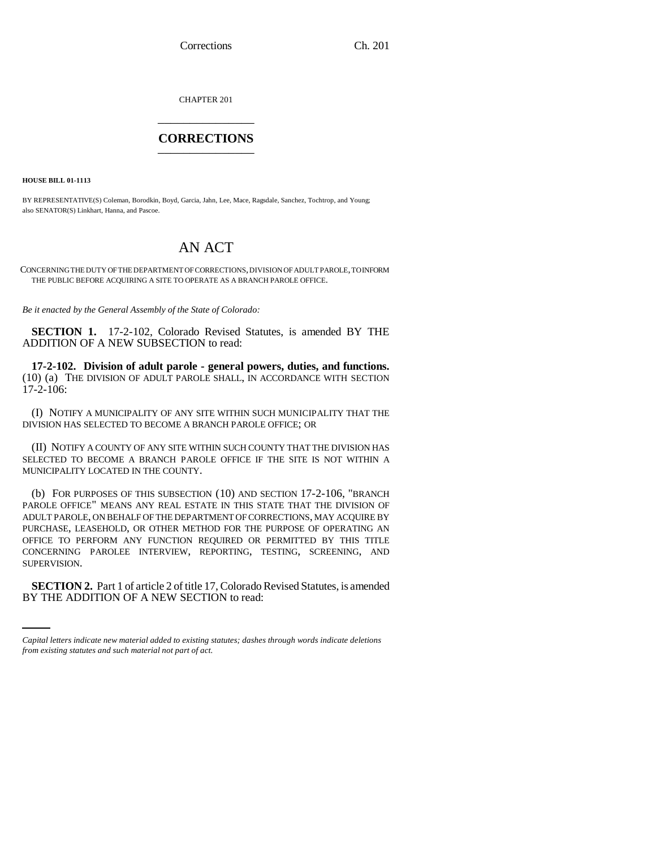Corrections Ch. 201

CHAPTER 201 \_\_\_\_\_\_\_\_\_\_\_\_\_\_\_

## **CORRECTIONS** \_\_\_\_\_\_\_\_\_\_\_\_\_\_\_

**HOUSE BILL 01-1113**

BY REPRESENTATIVE(S) Coleman, Borodkin, Boyd, Garcia, Jahn, Lee, Mace, Ragsdale, Sanchez, Tochtrop, and Young; also SENATOR(S) Linkhart, Hanna, and Pascoe.

## AN ACT

CONCERNING THE DUTY OF THE DEPARTMENT OF CORRECTIONS, DIVISION OF ADULT PAROLE, TO INFORM THE PUBLIC BEFORE ACQUIRING A SITE TO OPERATE AS A BRANCH PAROLE OFFICE.

*Be it enacted by the General Assembly of the State of Colorado:*

**SECTION 1.** 17-2-102, Colorado Revised Statutes, is amended BY THE ADDITION OF A NEW SUBSECTION to read:

**17-2-102. Division of adult parole - general powers, duties, and functions.** (10) (a) THE DIVISION OF ADULT PAROLE SHALL, IN ACCORDANCE WITH SECTION 17-2-106:

(I) NOTIFY A MUNICIPALITY OF ANY SITE WITHIN SUCH MUNICIPALITY THAT THE DIVISION HAS SELECTED TO BECOME A BRANCH PAROLE OFFICE; OR

(II) NOTIFY A COUNTY OF ANY SITE WITHIN SUCH COUNTY THAT THE DIVISION HAS SELECTED TO BECOME A BRANCH PAROLE OFFICE IF THE SITE IS NOT WITHIN A MUNICIPALITY LOCATED IN THE COUNTY.

(b) FOR PURPOSES OF THIS SUBSECTION (10) AND SECTION 17-2-106, "BRANCH PAROLE OFFICE" MEANS ANY REAL ESTATE IN THIS STATE THAT THE DIVISION OF ADULT PAROLE, ON BEHALF OF THE DEPARTMENT OF CORRECTIONS, MAY ACQUIRE BY PURCHASE, LEASEHOLD, OR OTHER METHOD FOR THE PURPOSE OF OPERATING AN OFFICE TO PERFORM ANY FUNCTION REQUIRED OR PERMITTED BY THIS TITLE CONCERNING PAROLEE INTERVIEW, REPORTING, TESTING, SCREENING, AND SUPERVISION.

**SECTION 2.** Part 1 of article 2 of title 17, Colorado Revised Statutes, is amended BY THE ADDITION OF A NEW SECTION to read:

*Capital letters indicate new material added to existing statutes; dashes through words indicate deletions from existing statutes and such material not part of act.*